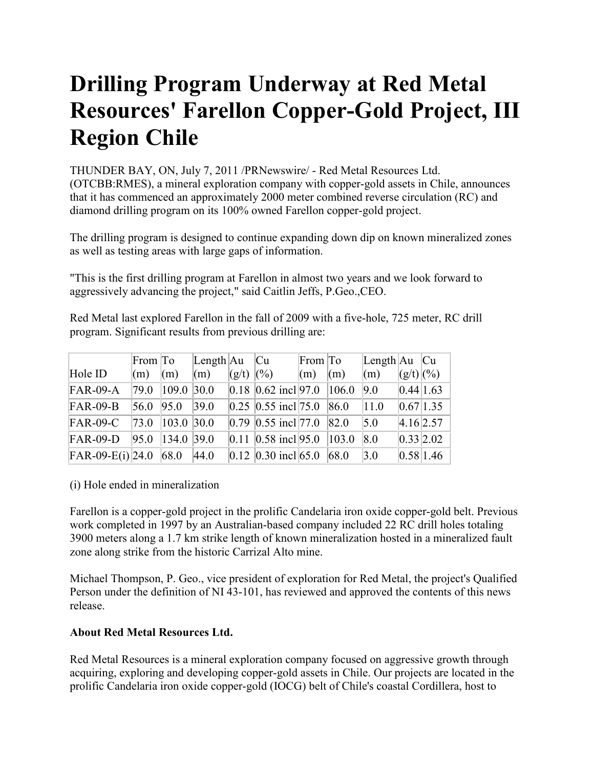## **Drilling Program Underway at Red Metal Resources' Farellon Copper-Gold Project, III Region Chile**

THUNDER BAY, ON, July 7, 2011 /PRNewswire/ - Red Metal Resources Ltd. (OTCBB:RMES), a mineral exploration company with copper-gold assets in Chile, announces that it has commenced an approximately 2000 meter combined reverse circulation (RC) and diamond drilling program on its 100% owned Farellon copper-gold project.

The drilling program is designed to continue expanding down dip on known mineralized zones as well as testing areas with large gaps of information.

"This is the first drilling program at Farellon in almost two years and we look forward to aggressively advancing the project," said Caitlin Jeffs, P.Geo.,CEO.

Red Metal last explored Farellon in the fall of 2009 with a five-hole, 725 meter, RC drill program. Significant results from previous drilling are:

|                    | From To        |                        | Length $Au$ |                        | Cu                            | From $\overline{a}$ |                | $\text{Length}$ Au $\text{Cu}$ |             |           |
|--------------------|----------------|------------------------|-------------|------------------------|-------------------------------|---------------------|----------------|--------------------------------|-------------|-----------|
| Hole ID            | (m)            | (m)                    | (m)         | $ (g/t) \, ^{(0)}(0) $ |                               | $\mathbf{m}$        | $\mathbf{m}$   | $\mathbf{m}$                   | $(g/t)$ (%) |           |
| $FAR-09-A$         | 79.0           | 109.0 30.0             |             |                        | $0.18$ 0.62 incl 97.0         |                     | 106.0          | 9.0                            | 0.44 1.63   |           |
| $FAR-09-B$         | 56.0           | 95.0                   | 39.0        |                        | $ 0.25 0.55$ incl 75.0  86.0  |                     |                | 11.0                           | 0.67 1.35   |           |
| $FAR-09-C$         | $ 73.0\rangle$ | 103.0 30.0             |             |                        | $ 0.79 0.55$ incl 77.0        |                     | $ 82.0\rangle$ | 5.0                            | $4.16$ 2.57 |           |
| $FAR-09-D$         | 95.0           | $\parallel$ 134.0 39.0 |             |                        | $ 0.11 $ 0.58 incl 95.0 103.0 |                     |                | 8.0                            |             | 0.33 2.02 |
| $FAR-09-E(i)$ 24.0 |                | 68.0                   | 44.0        |                        | $ 0.12 0.30$ incl $ 65.0 $    |                     | 68.0           | $\vert 3.0 \vert$              | 0.58 1.46   |           |

## (i) Hole ended in mineralization

Farellon is a copper-gold project in the prolific Candelaria iron oxide copper-gold belt. Previous work completed in 1997 by an Australian-based company included 22 RC drill holes totaling 3900 meters along a 1.7 km strike length of known mineralization hosted in a mineralized fault zone along strike from the historic Carrizal Alto mine.

Michael Thompson, P. Geo., vice president of exploration for Red Metal, the project's Qualified Person under the definition of NI 43-101, has reviewed and approved the contents of this news release.

## **About Red Metal Resources Ltd.**

Red Metal Resources is a mineral exploration company focused on aggressive growth through acquiring, exploring and developing copper-gold assets in Chile. Our projects are located in the prolific Candelaria iron oxide copper-gold (IOCG) belt of Chile's coastal Cordillera, host to